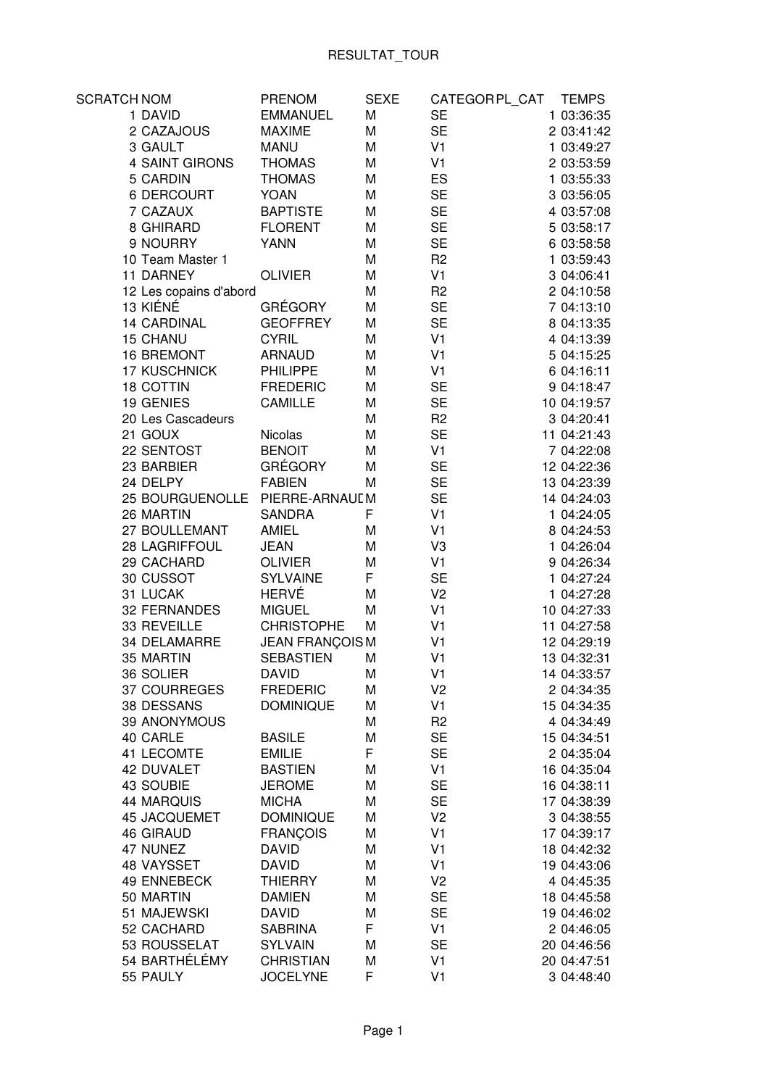| <b>SCRATCH NOM</b>     | <b>PRENOM</b>          | <b>SEXE</b> | CATEGOR PL_CAT | <b>TEMPS</b> |
|------------------------|------------------------|-------------|----------------|--------------|
| 1 DAVID                | <b>EMMANUEL</b>        | M           | <b>SE</b>      | 1 03:36:35   |
| 2 CAZAJOUS             | <b>MAXIME</b>          | M           | <b>SE</b>      | 2 03:41:42   |
| 3 GAULT                | <b>MANU</b>            | M           | V <sub>1</sub> | 1 03:49:27   |
| 4 SAINT GIRONS         | <b>THOMAS</b>          | M           | V <sub>1</sub> | 2 03:53:59   |
| 5 CARDIN               | <b>THOMAS</b>          | M           | ES             | 1 03:55:33   |
| <b>6 DERCOURT</b>      | <b>YOAN</b>            | M           | <b>SE</b>      | 3 03:56:05   |
| 7 CAZAUX               | <b>BAPTISTE</b>        | M           | <b>SE</b>      | 4 03:57:08   |
| 8 GHIRARD              | <b>FLORENT</b>         | M           | <b>SE</b>      | 5 03:58:17   |
| 9 NOURRY               | <b>YANN</b>            | M           | <b>SE</b>      | 6 03:58:58   |
| 10 Team Master 1       |                        | M           | R <sub>2</sub> | 1 03:59:43   |
| 11 DARNEY              | <b>OLIVIER</b>         | М           | V <sub>1</sub> | 3 04:06:41   |
| 12 Les copains d'abord |                        | M           | R <sub>2</sub> | 2 04:10:58   |
| 13 KIÉNÉ               | <b>GRÉGORY</b>         | M           | <b>SE</b>      | 7 04:13:10   |
| <b>14 CARDINAL</b>     | <b>GEOFFREY</b>        | M           | <b>SE</b>      | 8 04:13:35   |
| <b>15 CHANU</b>        | <b>CYRIL</b>           | M           | V <sub>1</sub> | 4 04:13:39   |
| 16 BREMONT             | <b>ARNAUD</b>          | M           | V <sub>1</sub> | 5 04:15:25   |
| <b>17 KUSCHNICK</b>    | <b>PHILIPPE</b>        | M           | V <sub>1</sub> | 6 04:16:11   |
| <b>18 COTTIN</b>       | <b>FREDERIC</b>        | M           | <b>SE</b>      | 9 04:18:47   |
| 19 GENIES              | CAMILLE                | M           | <b>SE</b>      | 10 04:19:57  |
| 20 Les Cascadeurs      |                        | M           | R <sub>2</sub> | 3 04:20:41   |
| 21 GOUX                | Nicolas                | M           | <b>SE</b>      | 11 04:21:43  |
| 22 SENTOST             | <b>BENOIT</b>          | M           | V <sub>1</sub> | 7 04:22:08   |
| 23 BARBIER             | <b>GRÉGORY</b>         | M           | <b>SE</b>      | 12 04:22:36  |
| 24 DELPY               | <b>FABIEN</b>          | М           | <b>SE</b>      | 13 04:23:39  |
| <b>25 BOURGUENOLLE</b> | PIERRE-ARNAUL M        |             | <b>SE</b>      | 14 04:24:03  |
| 26 MARTIN              | <b>SANDRA</b>          | F           | V <sub>1</sub> | 1 04:24:05   |
| 27 BOULLEMANT          | <b>AMIEL</b>           | M           | V <sub>1</sub> | 8 04:24:53   |
| 28 LAGRIFFOUL          | <b>JEAN</b>            | M           | V3             | 1 04:26:04   |
| 29 CACHARD             | <b>OLIVIER</b>         | M           | V <sub>1</sub> | 9 04:26:34   |
| 30 CUSSOT              | <b>SYLVAINE</b>        | F           | <b>SE</b>      | 1 04:27:24   |
| 31 LUCAK               | <b>HERVÉ</b>           | M           | V <sub>2</sub> | 1 04:27:28   |
| 32 FERNANDES           | <b>MIGUEL</b>          | M           | V <sub>1</sub> | 10 04:27:33  |
| 33 REVEILLE            | <b>CHRISTOPHE</b>      | M           | V <sub>1</sub> | 11 04:27:58  |
| 34 DELAMARRE           | <b>JEAN FRANÇOIS M</b> |             | V <sub>1</sub> | 12 04:29:19  |
| 35 MARTIN              | <b>SEBASTIEN</b>       | M           | V <sub>1</sub> | 13 04:32:31  |
| 36 SOLIER              | <b>DAVID</b>           | M           | V <sub>1</sub> | 14 04:33:57  |
| 37 COURREGES           | <b>FREDERIC</b>        | М           | V <sub>2</sub> | 2 04:34:35   |
| 38 DESSANS             | <b>DOMINIQUE</b>       | M           | V <sub>1</sub> | 15 04:34:35  |
| 39 ANONYMOUS           |                        | M           | R <sub>2</sub> | 4 04:34:49   |
| 40 CARLE               | <b>BASILE</b>          | M           | <b>SE</b>      | 15 04:34:51  |
| 41 LECOMTE             | <b>EMILIE</b>          | F           | <b>SE</b>      | 2 04:35:04   |
| 42 DUVALET             | <b>BASTIEN</b>         | М           | V <sub>1</sub> | 16 04:35:04  |
| 43 SOUBIE              | <b>JEROME</b>          | М           | <b>SE</b>      | 16 04:38:11  |
| <b>44 MARQUIS</b>      | <b>MICHA</b>           | М           | <b>SE</b>      | 17 04:38:39  |
| 45 JACQUEMET           | <b>DOMINIQUE</b>       | М           | V <sub>2</sub> | 3 04:38:55   |
| <b>46 GIRAUD</b>       | <b>FRANÇOIS</b>        | М           | V <sub>1</sub> | 17 04:39:17  |
| 47 NUNEZ               | <b>DAVID</b>           | М           | V <sub>1</sub> | 18 04:42:32  |
| 48 VAYSSET             | <b>DAVID</b>           | M           | V <sub>1</sub> | 19 04:43:06  |
| 49 ENNEBECK            | <b>THIERRY</b>         | M           | V <sub>2</sub> | 4 04:45:35   |
| 50 MARTIN              | <b>DAMIEN</b>          | M           | <b>SE</b>      | 18 04:45:58  |
| 51 MAJEWSKI            | <b>DAVID</b>           | M           | <b>SE</b>      | 19 04:46:02  |
| 52 CACHARD             | <b>SABRINA</b>         | F           | V <sub>1</sub> | 2 04:46:05   |
| 53 ROUSSELAT           | <b>SYLVAIN</b>         | M           | <b>SE</b>      | 20 04:46:56  |
| 54 BARTHÉLÉMY          | <b>CHRISTIAN</b>       | M           | V <sub>1</sub> | 20 04:47:51  |
| 55 PAULY               | <b>JOCELYNE</b>        | F           | V <sub>1</sub> | 3 04:48:40   |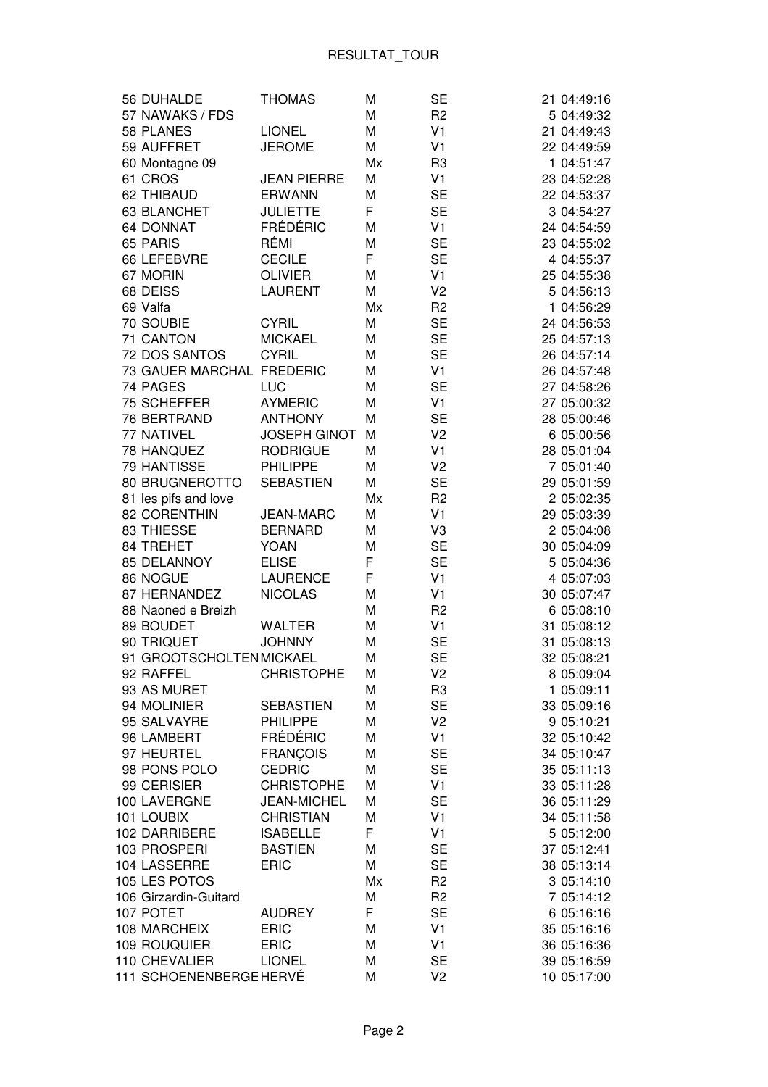| 56 DUHALDE                | <b>THOMAS</b>       | M  | <b>SE</b>      | 21 04:49:16 |
|---------------------------|---------------------|----|----------------|-------------|
| 57 NAWAKS / FDS           |                     | M  | R <sub>2</sub> | 5 04:49:32  |
| 58 PLANES                 | <b>LIONEL</b>       | M  | V <sub>1</sub> | 21 04:49:43 |
| 59 AUFFRET                | <b>JEROME</b>       | M  | V <sub>1</sub> | 22 04:49:59 |
| 60 Montagne 09            |                     | Mx | R <sub>3</sub> | 1 04:51:47  |
| 61 CROS                   | <b>JEAN PIERRE</b>  | M  | V <sub>1</sub> | 23 04:52:28 |
| 62 THIBAUD                | <b>ERWANN</b>       | M  | <b>SE</b>      | 22 04:53:37 |
| 63 BLANCHET               | <b>JULIETTE</b>     | F  | <b>SE</b>      | 3 04:54:27  |
| 64 DONNAT                 | <b>FRÉDÉRIC</b>     | M  | V <sub>1</sub> | 24 04:54:59 |
| 65 PARIS                  | RÉMI                | М  | <b>SE</b>      | 23 04:55:02 |
| 66 LEFEBVRE               | <b>CECILE</b>       | F  | <b>SE</b>      | 4 04:55:37  |
| 67 MORIN                  | <b>OLIVIER</b>      |    | V <sub>1</sub> | 25 04:55:38 |
|                           |                     | M  |                |             |
| 68 DEISS                  | <b>LAURENT</b>      | M  | V <sub>2</sub> | 5 04:56:13  |
| 69 Valfa                  |                     | Mx | R <sub>2</sub> | 1 04:56:29  |
| 70 SOUBIE                 | <b>CYRIL</b>        | M  | <b>SE</b>      | 24 04:56:53 |
| 71 CANTON                 | <b>MICKAEL</b>      | M  | <b>SE</b>      | 25 04:57:13 |
| 72 DOS SANTOS             | <b>CYRIL</b>        | M  | <b>SE</b>      | 26 04:57:14 |
| 73 GAUER MARCHAL FREDERIC |                     | M  | V <sub>1</sub> | 26 04:57:48 |
| 74 PAGES                  | LUC                 | M  | <b>SE</b>      | 27 04:58:26 |
| 75 SCHEFFER               | <b>AYMERIC</b>      | M  | V <sub>1</sub> | 27 05:00:32 |
| 76 BERTRAND               | <b>ANTHONY</b>      | M  | <b>SE</b>      | 28 05:00:46 |
| 77 NATIVEL                | <b>JOSEPH GINOT</b> | M  | V <sub>2</sub> | 6 05:00:56  |
| 78 HANQUEZ                | <b>RODRIGUE</b>     | M  | V <sub>1</sub> | 28 05:01:04 |
| 79 HANTISSE               | <b>PHILIPPE</b>     | M  | V <sub>2</sub> | 7 05:01:40  |
| 80 BRUGNEROTTO            | <b>SEBASTIEN</b>    | M  | <b>SE</b>      | 29 05:01:59 |
| 81 les pifs and love      |                     | Mx | R <sub>2</sub> | 2 05:02:35  |
| 82 CORENTHIN              | <b>JEAN-MARC</b>    | M  | V <sub>1</sub> | 29 05:03:39 |
| 83 THIESSE                | <b>BERNARD</b>      | M  | V3             | 2 05:04:08  |
| 84 TREHET                 | <b>YOAN</b>         | M  | <b>SE</b>      | 30 05:04:09 |
| 85 DELANNOY               | <b>ELISE</b>        | F  | <b>SE</b>      | 5 05:04:36  |
| 86 NOGUE                  | <b>LAURENCE</b>     | F  | V <sub>1</sub> | 4 05:07:03  |
| 87 HERNANDEZ              | <b>NICOLAS</b>      | M  | V <sub>1</sub> | 30 05:07:47 |
| 88 Naoned e Breizh        |                     | M  | R <sub>2</sub> | 6 05:08:10  |
| 89 BOUDET                 | <b>WALTER</b>       | M  | V <sub>1</sub> | 31 05:08:12 |
| 90 TRIQUET                | <b>JOHNNY</b>       | M  | <b>SE</b>      | 31 05:08:13 |
| 91 GROOTSCHOLTEN MICKAEL  |                     | M  | <b>SE</b>      | 32 05:08:21 |
| 92 RAFFEL                 | <b>CHRISTOPHE</b>   | M  | V <sub>2</sub> | 8 05:09:04  |
| 93 AS MURET               |                     | M  | R <sub>3</sub> | 1 05:09:11  |
| 94 MOLINIER               | <b>SEBASTIEN</b>    | M  | <b>SE</b>      | 33 05:09:16 |
| 95 SALVAYRE               | <b>PHILIPPE</b>     | M  | V <sub>2</sub> | 9 05:10:21  |
| 96 LAMBERT                | FRÉDÉRIC            | M  | V <sub>1</sub> | 32 05:10:42 |
| 97 HEURTEL                | <b>FRANCOIS</b>     | M  | <b>SE</b>      | 34 05:10:47 |
| 98 PONS POLO              | <b>CEDRIC</b>       | M  | <b>SE</b>      | 35 05:11:13 |
| 99 CERISIER               | <b>CHRISTOPHE</b>   | M  | V <sub>1</sub> | 33 05:11:28 |
| 100 LAVERGNE              | <b>JEAN-MICHEL</b>  | M  | <b>SE</b>      | 36 05:11:29 |
| 101 LOUBIX                | <b>CHRISTIAN</b>    | M  | V <sub>1</sub> |             |
|                           |                     | F  |                | 34 05:11:58 |
| 102 DARRIBERE             | <b>ISABELLE</b>     |    | V <sub>1</sub> | 5 05:12:00  |
| 103 PROSPERI              | <b>BASTIEN</b>      | Μ  | <b>SE</b>      | 37 05:12:41 |
| 104 LASSERRE              | <b>ERIC</b>         | M  | <b>SE</b>      | 38 05:13:14 |
| 105 LES POTOS             |                     | Mx | R <sub>2</sub> | 3 05:14:10  |
| 106 Girzardin-Guitard     |                     | M  | R <sub>2</sub> | 7 05:14:12  |
| 107 POTET                 | <b>AUDREY</b>       | F  | <b>SE</b>      | 6 05:16:16  |
| 108 MARCHEIX              | <b>ERIC</b>         | M  | V <sub>1</sub> | 35 05:16:16 |
| 109 ROUQUIER              | <b>ERIC</b>         | M  | V <sub>1</sub> | 36 05:16:36 |
| 110 CHEVALIER             | <b>LIONEL</b>       | M  | <b>SE</b>      | 39 05:16:59 |
| 111 SCHOENENBERGE HERVÉ   |                     | M  | V <sub>2</sub> | 10 05:17:00 |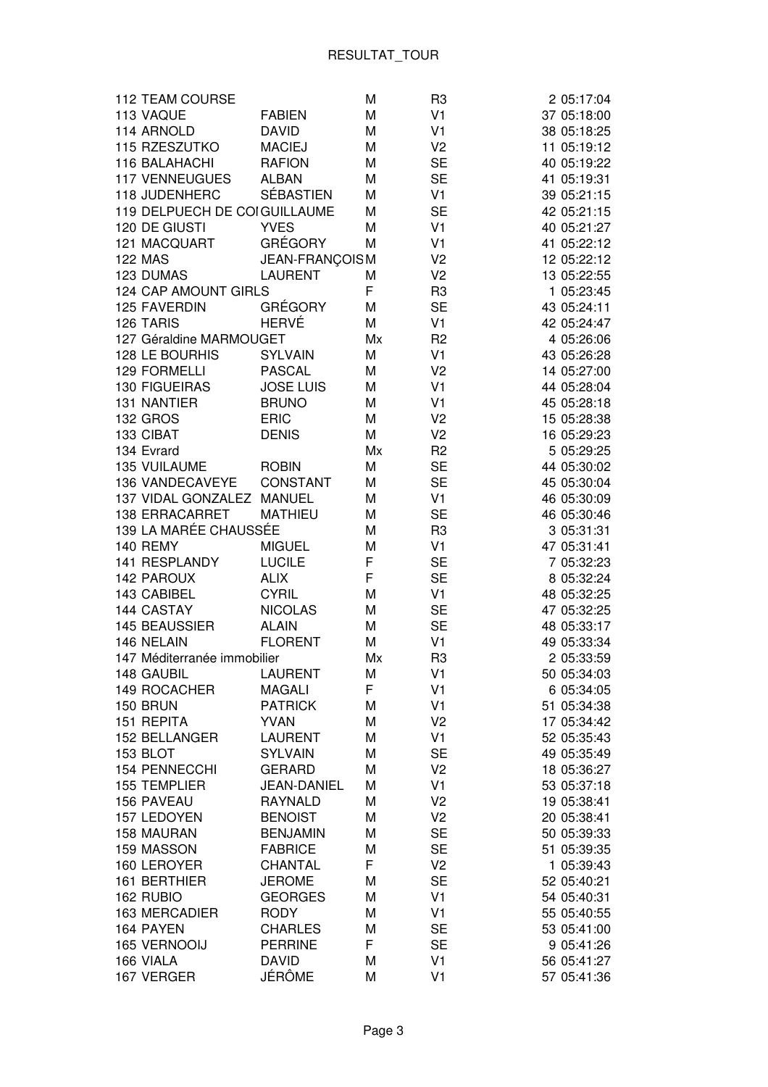| 112 TEAM COURSE              |                    | M  | R <sub>3</sub> | 2 05:17:04  |
|------------------------------|--------------------|----|----------------|-------------|
| 113 VAQUE                    | <b>FABIEN</b>      | M  | V <sub>1</sub> | 37 05:18:00 |
| 114 ARNOLD                   | <b>DAVID</b>       | M  | V <sub>1</sub> | 38 05:18:25 |
| 115 RZESZUTKO                | <b>MACIEJ</b>      | M  | V <sub>2</sub> | 11 05:19:12 |
| 116 BALAHACHI                | <b>RAFION</b>      | M  | <b>SE</b>      | 40 05:19:22 |
| <b>117 VENNEUGUES</b>        | <b>ALBAN</b>       | M  | <b>SE</b>      | 41 05:19:31 |
| 118 JUDENHERC                | <b>SÉBASTIEN</b>   | M  | V <sub>1</sub> | 39 05:21:15 |
| 119 DELPUECH DE COIGUILLAUME |                    | M  | <b>SE</b>      | 42 05:21:15 |
| 120 DE GIUSTI                | <b>YVES</b>        | M  | V <sub>1</sub> | 40 05:21:27 |
| 121 MACQUART                 | <b>GRÉGORY</b>     | М  | V <sub>1</sub> | 41 05:22:12 |
| <b>122 MAS</b>               | JEAN-FRANÇOIS M    |    | V <sub>2</sub> | 12 05:22:12 |
| 123 DUMAS                    | <b>LAURENT</b>     | M  | V <sub>2</sub> | 13 05:22:55 |
| 124 CAP AMOUNT GIRLS         |                    | F  | R <sub>3</sub> | 1 05:23:45  |
| 125 FAVERDIN                 | <b>GRÉGORY</b>     | M  | <b>SE</b>      | 43 05:24:11 |
| 126 TARIS                    | <b>HERVÉ</b>       | M  | V <sub>1</sub> | 42 05:24:47 |
| 127 Géraldine MARMOUGET      |                    | Mx | R <sub>2</sub> | 4 05:26:06  |
| 128 LE BOURHIS               | <b>SYLVAIN</b>     | M  | V <sub>1</sub> | 43 05:26:28 |
| 129 FORMELLI                 | <b>PASCAL</b>      | M  | V <sub>2</sub> | 14 05:27:00 |
| <b>130 FIGUEIRAS</b>         | <b>JOSE LUIS</b>   | M  | V <sub>1</sub> | 44 05:28:04 |
| 131 NANTIER                  | <b>BRUNO</b>       | M  | V <sub>1</sub> | 45 05:28:18 |
| <b>132 GROS</b>              | <b>ERIC</b>        | M  | V <sub>2</sub> | 15 05:28:38 |
| 133 CIBAT                    | <b>DENIS</b>       | M  | V <sub>2</sub> | 16 05:29:23 |
| 134 Evrard                   |                    | Mx | R <sub>2</sub> | 5 05:29:25  |
| 135 VUILAUME                 | <b>ROBIN</b>       | M  | <b>SE</b>      | 44 05:30:02 |
| 136 VANDECAVEYE              | <b>CONSTANT</b>    | M  | <b>SE</b>      | 45 05:30:04 |
| 137 VIDAL GONZALEZ MANUEL    |                    | M  | V <sub>1</sub> | 46 05:30:09 |
| <b>138 ERRACARRET</b>        | <b>MATHIEU</b>     | Μ  | <b>SE</b>      | 46 05:30:46 |
| 139 LA MARÉE CHAUSSÉE        |                    | M  | R <sub>3</sub> | 3 05:31:31  |
| <b>140 REMY</b>              | <b>MIGUEL</b>      | M  | V <sub>1</sub> | 47 05:31:41 |
| 141 RESPLANDY                | <b>LUCILE</b>      | F  | <b>SE</b>      | 7 05:32:23  |
| <b>142 PAROUX</b>            | <b>ALIX</b>        | F  | <b>SE</b>      | 8 05:32:24  |
| 143 CABIBEL                  | <b>CYRIL</b>       | M  | V <sub>1</sub> | 48 05:32:25 |
| 144 CASTAY                   | <b>NICOLAS</b>     | M  | <b>SE</b>      | 47 05:32:25 |
| 145 BEAUSSIER                | <b>ALAIN</b>       | M  | <b>SE</b>      | 48 05:33:17 |
| 146 NELAIN                   | <b>FLORENT</b>     | M  | V <sub>1</sub> | 49 05:33:34 |
| 147 Méditerranée immobilier  |                    | Mx | R <sub>3</sub> | 2 05:33:59  |
| 148 GAUBIL                   | <b>LAURENT</b>     | M  | V <sub>1</sub> | 50 05:34:03 |
| 149 ROCACHER                 | <b>MAGALI</b>      | F  | V <sub>1</sub> | 6 05:34:05  |
| 150 BRUN                     | <b>PATRICK</b>     | М  | V <sub>1</sub> | 51 05:34:38 |
| 151 REPITA                   | <b>YVAN</b>        | М  | V <sub>2</sub> | 17 05:34:42 |
| 152 BELLANGER                | <b>LAURENT</b>     | М  | V <sub>1</sub> | 52 05:35:43 |
| 153 BLOT                     | <b>SYLVAIN</b>     | М  | <b>SE</b>      | 49 05:35:49 |
| 154 PENNECCHI                | <b>GERARD</b>      | М  | V <sub>2</sub> | 18 05:36:27 |
| 155 TEMPLIER                 | <b>JEAN-DANIEL</b> | М  | V <sub>1</sub> | 53 05:37:18 |
| 156 PAVEAU                   | <b>RAYNALD</b>     | Μ  | V <sub>2</sub> | 19 05:38:41 |
| 157 LEDOYEN                  | <b>BENOIST</b>     | Μ  | V <sub>2</sub> | 20 05:38:41 |
| 158 MAURAN                   | <b>BENJAMIN</b>    | М  | <b>SE</b>      | 50 05:39:33 |
| 159 MASSON                   | <b>FABRICE</b>     | М  | <b>SE</b>      | 51 05:39:35 |
| 160 LEROYER                  | CHANTAL            | F  | V <sub>2</sub> | 1 05:39:43  |
| 161 BERTHIER                 | <b>JEROME</b>      | Μ  | <b>SE</b>      | 52 05:40:21 |
| 162 RUBIO                    | <b>GEORGES</b>     | M  | V <sub>1</sub> | 54 05:40:31 |
| 163 MERCADIER                | <b>RODY</b>        | М  | V <sub>1</sub> | 55 05:40:55 |
| 164 PAYEN                    | <b>CHARLES</b>     | М  | <b>SE</b>      | 53 05:41:00 |
| 165 VERNOOIJ                 | <b>PERRINE</b>     | F  | <b>SE</b>      | 9 05:41:26  |
| 166 VIALA                    | <b>DAVID</b>       | М  | V <sub>1</sub> | 56 05:41:27 |
| 167 VERGER                   | JÉRÔME             | M  | V <sub>1</sub> | 57 05:41:36 |
|                              |                    |    |                |             |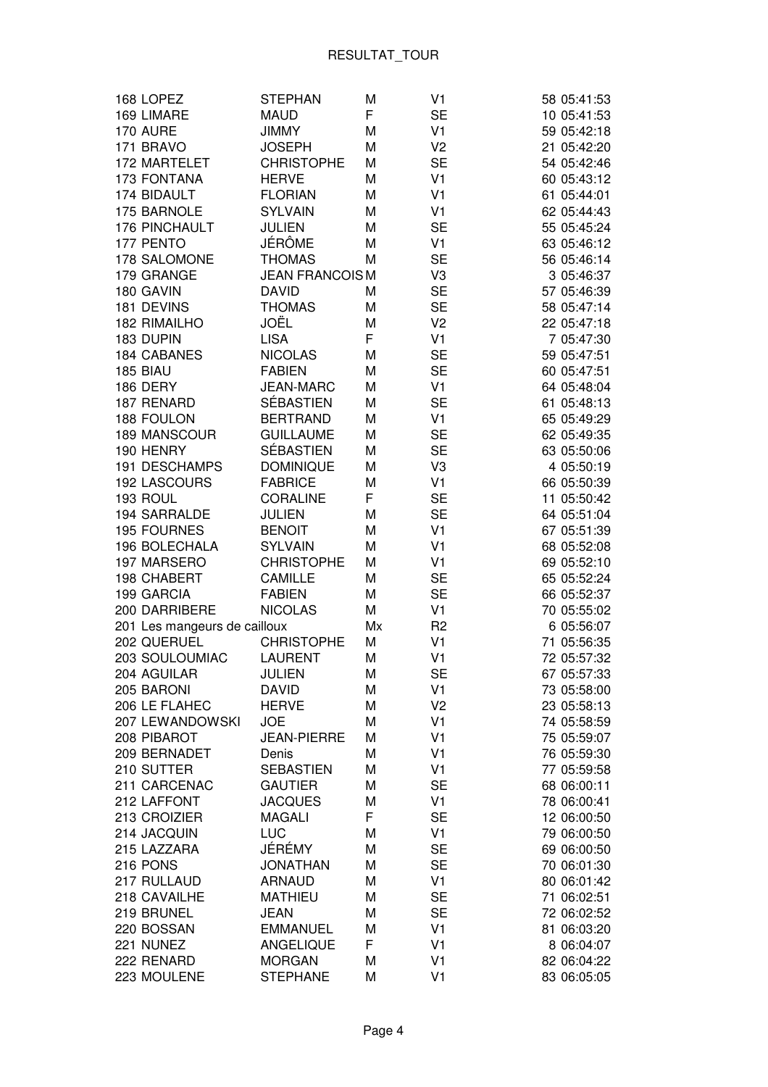| 168 LOPEZ                    | <b>STEPHAN</b>        | M  | V <sub>1</sub> | 58 05:41:53 |
|------------------------------|-----------------------|----|----------------|-------------|
| 169 LIMARE                   | <b>MAUD</b>           | F  | <b>SE</b>      | 10 05:41:53 |
| 170 AURE                     | <b>JIMMY</b>          | M  | V <sub>1</sub> | 59 05:42:18 |
| 171 BRAVO                    | <b>JOSEPH</b>         | M  | V <sub>2</sub> | 21 05:42:20 |
| 172 MARTELET                 | <b>CHRISTOPHE</b>     | М  | <b>SE</b>      | 54 05:42:46 |
| 173 FONTANA                  | <b>HERVE</b>          | M  | V <sub>1</sub> | 60 05:43:12 |
| 174 BIDAULT                  | <b>FLORIAN</b>        | M  | V <sub>1</sub> | 61 05:44:01 |
| 175 BARNOLE                  | <b>SYLVAIN</b>        | M  | V <sub>1</sub> | 62 05:44:43 |
| 176 PINCHAULT                | <b>JULIEN</b>         | M  | <b>SE</b>      | 55 05:45:24 |
| 177 PENTO                    | JÉRÔME                | M  | V <sub>1</sub> | 63 05:46:12 |
| 178 SALOMONE                 | <b>THOMAS</b>         | М  | <b>SE</b>      | 56 05:46:14 |
| 179 GRANGE                   | <b>JEAN FRANCOISM</b> |    | V3             | 3 05:46:37  |
| 180 GAVIN                    | <b>DAVID</b>          | М  | <b>SE</b>      | 57 05:46:39 |
| 181 DEVINS                   | <b>THOMAS</b>         | M  | <b>SE</b>      | 58 05:47:14 |
| <b>182 RIMAILHO</b>          | JOËL                  | M  | V <sub>2</sub> | 22 05:47:18 |
| 183 DUPIN                    | <b>LISA</b>           | F  | V <sub>1</sub> | 7 05:47:30  |
| <b>184 CABANES</b>           | <b>NICOLAS</b>        | M  | <b>SE</b>      | 59 05:47:51 |
|                              | <b>FABIEN</b>         |    | <b>SE</b>      |             |
| 185 BIAU                     | <b>JEAN-MARC</b>      | M  |                | 60 05:47:51 |
| 186 DERY                     |                       | M  | V <sub>1</sub> | 64 05:48:04 |
| 187 RENARD                   | <b>SÉBASTIEN</b>      | M  | <b>SE</b>      | 61 05:48:13 |
| 188 FOULON                   | <b>BERTRAND</b>       | M  | V <sub>1</sub> | 65 05:49:29 |
| 189 MANSCOUR                 | <b>GUILLAUME</b>      | M  | <b>SE</b>      | 62 05:49:35 |
| 190 HENRY                    | <b>SÉBASTIEN</b>      | M  | <b>SE</b>      | 63 05:50:06 |
| 191 DESCHAMPS                | <b>DOMINIQUE</b>      | M  | V3             | 4 05:50:19  |
| 192 LASCOURS                 | <b>FABRICE</b>        | M  | V <sub>1</sub> | 66 05:50:39 |
| 193 ROUL                     | CORALINE              | F  | <b>SE</b>      | 11 05:50:42 |
| 194 SARRALDE                 | <b>JULIEN</b>         | M  | <b>SE</b>      | 64 05:51:04 |
| <b>195 FOURNES</b>           | <b>BENOIT</b>         | M  | V <sub>1</sub> | 67 05:51:39 |
| 196 BOLECHALA                | <b>SYLVAIN</b>        | M  | V <sub>1</sub> | 68 05:52:08 |
| 197 MARSERO                  | <b>CHRISTOPHE</b>     | М  | V <sub>1</sub> | 69 05:52:10 |
| 198 CHABERT                  | <b>CAMILLE</b>        | M  | <b>SE</b>      | 65 05:52:24 |
| 199 GARCIA                   | <b>FABIEN</b>         | M  | <b>SE</b>      | 66 05:52:37 |
| 200 DARRIBERE                | <b>NICOLAS</b>        | M  | V <sub>1</sub> | 70 05:55:02 |
| 201 Les mangeurs de cailloux |                       | Mx | R <sub>2</sub> | 6 05:56:07  |
| 202 QUERUEL                  | <b>CHRISTOPHE</b>     | M  | V <sub>1</sub> | 71 05:56:35 |
| 203 SOULOUMIAC               | <b>LAURENT</b>        | M  | V <sub>1</sub> | 72 05:57:32 |
| 204 AGUILAR                  | <b>JULIEN</b>         | M  | <b>SE</b>      | 67 05:57:33 |
| 205 BARONI                   | <b>DAVID</b>          | М  | V1             | 73 05:58:00 |
| 206 LE FLAHEC                | <b>HERVE</b>          | M  | V <sub>2</sub> | 23 05:58:13 |
| 207 LEWANDOWSKI              | <b>JOE</b>            | M  | V <sub>1</sub> | 74 05:58:59 |
| 208 PIBAROT                  | <b>JEAN-PIERRE</b>    | M  | V <sub>1</sub> | 75 05:59:07 |
| 209 BERNADET                 | Denis                 | M  | V <sub>1</sub> | 76 05:59:30 |
| 210 SUTTER                   | <b>SEBASTIEN</b>      | M  | V <sub>1</sub> | 77 05:59:58 |
| 211 CARCENAC                 | <b>GAUTIER</b>        | M  | <b>SE</b>      | 68 06:00:11 |
| 212 LAFFONT                  | <b>JACQUES</b>        | Μ  | V <sub>1</sub> | 78 06:00:41 |
| 213 CROIZIER                 | <b>MAGALI</b>         | F  | <b>SE</b>      | 12 06:00:50 |
| 214 JACQUIN                  | <b>LUC</b>            | M  | V <sub>1</sub> | 79 06:00:50 |
| 215 LAZZARA                  | JÉRÉMY                | M  | <b>SE</b>      | 69 06:00:50 |
| 216 PONS                     | <b>JONATHAN</b>       | M  | <b>SE</b>      | 70 06:01:30 |
| 217 RULLAUD                  | <b>ARNAUD</b>         | М  | V <sub>1</sub> | 80 06:01:42 |
| 218 CAVAILHE                 | <b>MATHIEU</b>        | M  | <b>SE</b>      | 71 06:02:51 |
| 219 BRUNEL                   | <b>JEAN</b>           | M  | <b>SE</b>      | 72 06:02:52 |
| 220 BOSSAN                   | <b>EMMANUEL</b>       | M  | V <sub>1</sub> | 81 06:03:20 |
| 221 NUNEZ                    | ANGELIQUE             | F  | V <sub>1</sub> | 8 06:04:07  |
| 222 RENARD                   | <b>MORGAN</b>         | M  | V <sub>1</sub> | 82 06:04:22 |
| 223 MOULENE                  | <b>STEPHANE</b>       | M  | V <sub>1</sub> | 83 06:05:05 |
|                              |                       |    |                |             |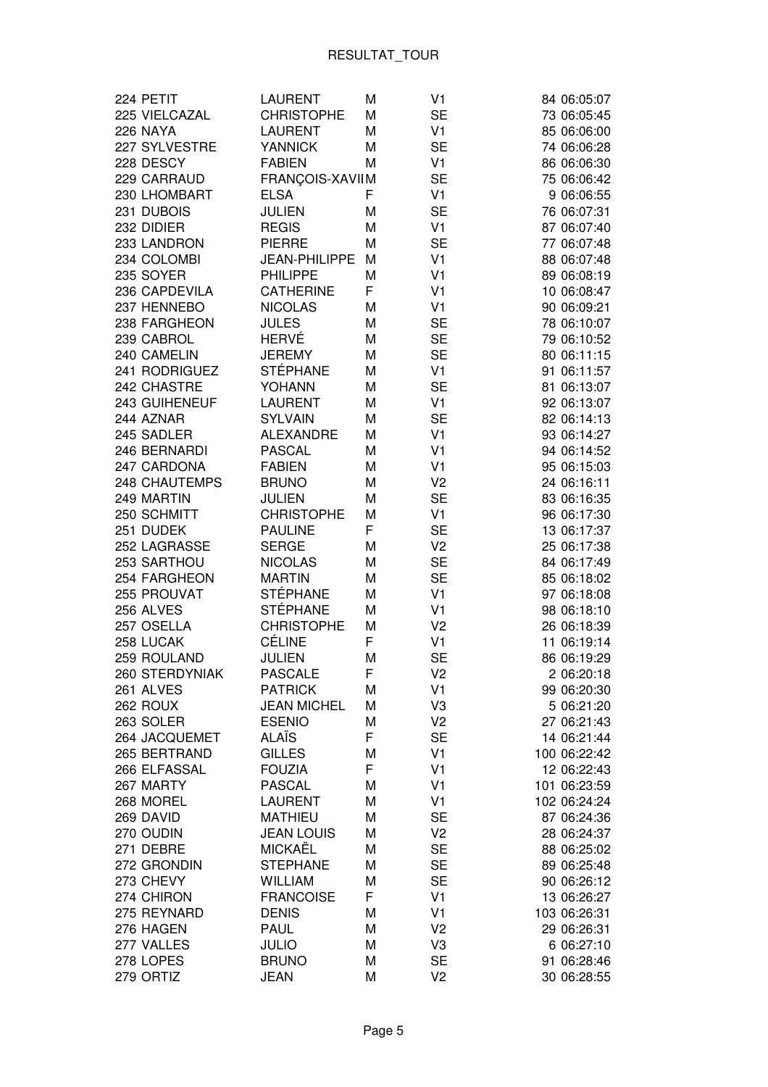| 224 PETIT                   | <b>LAURENT</b>                  | Μ      | V <sub>1</sub>              | 84 06:05:07                |
|-----------------------------|---------------------------------|--------|-----------------------------|----------------------------|
| 225 VIELCAZAL               | <b>CHRISTOPHE</b>               | M      | <b>SE</b>                   | 73 06:05:45                |
| 226 NAYA                    | <b>LAURENT</b>                  | M      | V <sub>1</sub>              | 85 06:06:00                |
| 227 SYLVESTRE               | <b>YANNICK</b>                  | M      | <b>SE</b>                   | 74 06:06:28                |
| 228 DESCY                   | <b>FABIEN</b>                   | М      | V <sub>1</sub>              | 86 06:06:30                |
| 229 CARRAUD                 | FRANÇOIS-XAVIIM                 |        | <b>SE</b>                   | 75 06:06:42                |
| 230 LHOMBART                | <b>ELSA</b>                     | F      | V <sub>1</sub>              | 9 06:06:55                 |
| 231 DUBOIS                  | <b>JULIEN</b>                   | М      | <b>SE</b>                   | 76 06:07:31                |
| 232 DIDIER                  | <b>REGIS</b>                    | Μ      | V <sub>1</sub>              | 87 06:07:40                |
| 233 LANDRON                 | <b>PIERRE</b>                   | M      | <b>SE</b>                   | 77 06:07:48                |
| 234 COLOMBI                 | JEAN-PHILIPPE                   | M      | V <sub>1</sub>              | 88 06:07:48                |
| 235 SOYER                   | <b>PHILIPPE</b>                 | Μ      | V <sub>1</sub>              | 89 06:08:19                |
| 236 CAPDEVILA               | <b>CATHERINE</b>                | F      | V <sub>1</sub>              | 10 06:08:47                |
| 237 HENNEBO                 | <b>NICOLAS</b>                  | Μ      | V <sub>1</sub>              | 90 06:09:21                |
| 238 FARGHEON                | <b>JULES</b>                    | Μ      | <b>SE</b>                   | 78 06:10:07                |
| 239 CABROL                  | HERVÉ                           | M      | <b>SE</b>                   | 79 06:10:52                |
| 240 CAMELIN                 | <b>JEREMY</b>                   | M      | <b>SE</b>                   | 80 06:11:15                |
| 241 RODRIGUEZ               | <b>STÉPHANE</b>                 | M      | V <sub>1</sub>              | 91 06:11:57                |
| 242 CHASTRE                 | <b>YOHANN</b>                   | Μ      | <b>SE</b>                   | 81 06:13:07                |
| 243 GUIHENEUF               | <b>LAURENT</b>                  | М      | V <sub>1</sub>              | 92 06:13:07                |
| 244 AZNAR                   | <b>SYLVAIN</b>                  | М      | <b>SE</b>                   | 82 06:14:13                |
| 245 SADLER                  | <b>ALEXANDRE</b>                | Μ      | V <sub>1</sub>              | 93 06:14:27                |
| 246 BERNARDI                | <b>PASCAL</b>                   |        | V <sub>1</sub>              | 94 06:14:52                |
| 247 CARDONA                 | <b>FABIEN</b>                   | Μ      | V <sub>1</sub>              |                            |
|                             |                                 | Μ      | V <sub>2</sub>              | 95 06:15:03                |
| <b>248 CHAUTEMPS</b>        | <b>BRUNO</b>                    | Μ      |                             | 24 06:16:11                |
| 249 MARTIN                  | <b>JULIEN</b>                   | Μ      | <b>SE</b><br>V <sub>1</sub> | 83 06:16:35                |
| 250 SCHMITT                 | <b>CHRISTOPHE</b>               | Μ<br>F |                             | 96 06:17:30                |
| 251 DUDEK                   | <b>PAULINE</b><br><b>SERGE</b>  |        | <b>SE</b>                   | 13 06:17:37                |
| 252 LAGRASSE                |                                 | М      | V <sub>2</sub>              | 25 06:17:38                |
| 253 SARTHOU                 | <b>NICOLAS</b><br><b>MARTIN</b> | M      | <b>SE</b>                   | 84 06:17:49                |
| 254 FARGHEON<br>255 PROUVAT | <b>STÉPHANE</b>                 | M      | <b>SE</b><br>V <sub>1</sub> | 85 06:18:02                |
| 256 ALVES                   | <b>STÉPHANE</b>                 | M      | V <sub>1</sub>              | 97 06:18:08<br>98 06:18:10 |
| 257 OSELLA                  | <b>CHRISTOPHE</b>               | Μ      | V <sub>2</sub>              |                            |
| 258 LUCAK                   | <b>CÉLINE</b>                   | Μ<br>F |                             | 26 06:18:39                |
|                             |                                 |        | V <sub>1</sub>              | 11 06:19:14<br>86 06:19:29 |
| 259 ROULAND                 | <b>JULIEN</b>                   | М      | <b>SE</b>                   |                            |
| 260 STERDYNIAK              | <b>PASCALE</b>                  | F      | V <sub>2</sub>              | 2 06:20:18                 |
| 261 ALVES                   | <b>PATRICK</b>                  | М      | V <sub>1</sub>              | 99 06:20:30                |
| 262 ROUX                    | <b>JEAN MICHEL</b>              | М      | V3                          | 5 06:21:20                 |
| 263 SOLER                   | <b>ESENIO</b>                   | М      | V <sub>2</sub>              | 27 06:21:43                |
| 264 JACQUEMET               | <b>ALAÏS</b>                    | F      | <b>SE</b>                   | 14 06:21:44                |
| 265 BERTRAND                | <b>GILLES</b>                   | М      | V <sub>1</sub>              | 100 06:22:42               |
| 266 ELFASSAL                | <b>FOUZIA</b>                   | F      | V <sub>1</sub>              | 12 06:22:43                |
| 267 MARTY                   | <b>PASCAL</b>                   | М      | V <sub>1</sub>              | 101 06:23:59               |
| 268 MOREL                   | <b>LAURENT</b>                  | М      | V <sub>1</sub>              | 102 06:24:24               |
| 269 DAVID                   | <b>MATHIEU</b>                  | М      | <b>SE</b>                   | 87 06:24:36                |
| 270 OUDIN                   | <b>JEAN LOUIS</b>               | М      | V <sub>2</sub>              | 28 06:24:37                |
| 271 DEBRE                   | <b>MICKAËL</b>                  | Μ      | <b>SE</b>                   | 88 06:25:02                |
| 272 GRONDIN                 | <b>STEPHANE</b>                 | М      | <b>SE</b>                   | 89 06:25:48                |
| 273 CHEVY                   | <b>WILLIAM</b>                  | M      | <b>SE</b>                   | 90 06:26:12                |
| 274 CHIRON                  | <b>FRANCOISE</b>                | F      | V <sub>1</sub>              | 13 06:26:27                |
| 275 REYNARD                 | <b>DENIS</b>                    | Μ      | V <sub>1</sub>              | 103 06:26:31               |
| 276 HAGEN                   | <b>PAUL</b>                     | Μ      | V <sub>2</sub>              | 29 06:26:31                |
| 277 VALLES                  | <b>JULIO</b>                    | Μ      | V3                          | 6 06:27:10                 |
| 278 LOPES                   | <b>BRUNO</b>                    | Μ      | <b>SE</b>                   | 91 06:28:46                |
| 279 ORTIZ                   | <b>JEAN</b>                     | М      | V <sub>2</sub>              | 30 06:28:55                |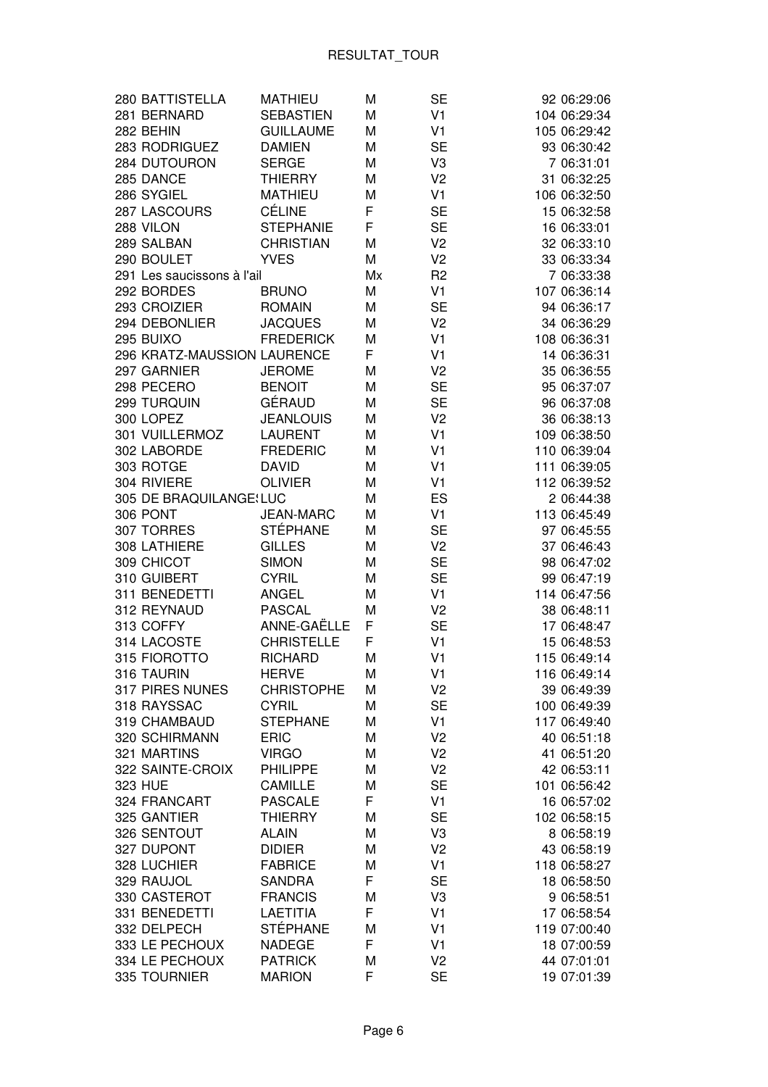| 280 BATTISTELLA             | <b>MATHIEU</b>    | M  | <b>SE</b>      | 92 06:29:06  |
|-----------------------------|-------------------|----|----------------|--------------|
| 281 BERNARD                 | <b>SEBASTIEN</b>  | M  | V <sub>1</sub> | 104 06:29:34 |
| 282 BEHIN                   | <b>GUILLAUME</b>  | M  | V <sub>1</sub> | 105 06:29:42 |
| 283 RODRIGUEZ               | <b>DAMIEN</b>     | M  | <b>SE</b>      | 93 06:30:42  |
| 284 DUTOURON                | <b>SERGE</b>      | M  | V <sub>3</sub> | 7 06:31:01   |
| 285 DANCE                   | <b>THIERRY</b>    | М  | V <sub>2</sub> | 31 06:32:25  |
| 286 SYGIEL                  | <b>MATHIEU</b>    | M  | V <sub>1</sub> | 106 06:32:50 |
| 287 LASCOURS                | <b>CÉLINE</b>     | F  | <b>SE</b>      | 15 06:32:58  |
| 288 VILON                   | <b>STEPHANIE</b>  | F  | <b>SE</b>      | 16 06:33:01  |
| 289 SALBAN                  | <b>CHRISTIAN</b>  | M  | V <sub>2</sub> | 32 06:33:10  |
| 290 BOULET                  | <b>YVES</b>       | M  | V <sub>2</sub> | 33 06:33:34  |
| 291 Les saucissons à l'ail  |                   | Mx | R <sub>2</sub> | 7 06:33:38   |
| 292 BORDES                  | <b>BRUNO</b>      | M  | V <sub>1</sub> | 107 06:36:14 |
| 293 CROIZIER                | <b>ROMAIN</b>     | M  | <b>SE</b>      | 94 06:36:17  |
| 294 DEBONLIER               | <b>JACQUES</b>    | М  | V <sub>2</sub> | 34 06:36:29  |
| 295 BUIXO                   | <b>FREDERICK</b>  | М  | V <sub>1</sub> | 108 06:36:31 |
| 296 KRATZ-MAUSSION LAURENCE |                   | F  | V <sub>1</sub> | 14 06:36:31  |
| 297 GARNIER                 | <b>JEROME</b>     | M  | V <sub>2</sub> | 35 06:36:55  |
| 298 PECERO                  | <b>BENOIT</b>     | M  | <b>SE</b>      | 95 06:37:07  |
| 299 TURQUIN                 | GÉRAUD            | M  | <b>SE</b>      | 96 06:37:08  |
| 300 LOPEZ                   | <b>JEANLOUIS</b>  | М  | V <sub>2</sub> | 36 06:38:13  |
| 301 VUILLERMOZ              | <b>LAURENT</b>    | М  | V <sub>1</sub> | 109 06:38:50 |
| 302 LABORDE                 | <b>FREDERIC</b>   | М  | V <sub>1</sub> | 110 06:39:04 |
| 303 ROTGE                   | <b>DAVID</b>      | М  | V <sub>1</sub> | 111 06:39:05 |
| 304 RIVIERE                 | <b>OLIVIER</b>    | М  | V <sub>1</sub> | 112 06:39:52 |
| 305 DE BRAQUILANGE LUC      |                   | М  | ES             | 2 06:44:38   |
| 306 PONT                    | <b>JEAN-MARC</b>  | М  | V <sub>1</sub> | 113 06:45:49 |
| 307 TORRES                  | <b>STÉPHANE</b>   | M  | <b>SE</b>      | 97 06:45:55  |
| 308 LATHIERE                | <b>GILLES</b>     | M  | V <sub>2</sub> | 37 06:46:43  |
| 309 CHICOT                  | <b>SIMON</b>      | M  | <b>SE</b>      | 98 06:47:02  |
| 310 GUIBERT                 | <b>CYRIL</b>      | М  | <b>SE</b>      | 99 06:47:19  |
| 311 BENEDETTI               | <b>ANGEL</b>      | M  | V <sub>1</sub> | 114 06:47:56 |
| 312 REYNAUD                 | <b>PASCAL</b>     | M  | V <sub>2</sub> | 38 06:48:11  |
| 313 COFFY                   | ANNE-GAËLLE       | F  | <b>SE</b>      | 17 06:48:47  |
| 314 LACOSTE                 | <b>CHRISTELLE</b> | F  | V <sub>1</sub> | 15 06:48:53  |
| 315 FIOROTTO                | <b>RICHARD</b>    | M  | V <sub>1</sub> | 115 06:49:14 |
| 316 TAURIN                  | <b>HERVE</b>      | M  | V <sub>1</sub> | 116 06:49:14 |
| 317 PIRES NUNES             | <b>CHRISTOPHE</b> | M  | V <sub>2</sub> | 39 06:49:39  |
| 318 RAYSSAC                 | <b>CYRIL</b>      | M  | <b>SE</b>      | 100 06:49:39 |
| 319 CHAMBAUD                | <b>STEPHANE</b>   | М  | V <sub>1</sub> | 117 06:49:40 |
| 320 SCHIRMANN               | <b>ERIC</b>       | М  | V <sub>2</sub> | 40 06:51:18  |
| 321 MARTINS                 | <b>VIRGO</b>      | М  | V <sub>2</sub> | 41 06:51:20  |
| 322 SAINTE-CROIX            | <b>PHILIPPE</b>   | М  | V <sub>2</sub> | 42 06:53:11  |
| 323 HUE                     | <b>CAMILLE</b>    | М  | <b>SE</b>      | 101 06:56:42 |
| 324 FRANCART                | <b>PASCALE</b>    | F  | V <sub>1</sub> | 16 06:57:02  |
| 325 GANTIER                 | <b>THIERRY</b>    | М  | <b>SE</b>      | 102 06:58:15 |
| 326 SENTOUT                 | <b>ALAIN</b>      | М  | V <sub>3</sub> | 8 06:58:19   |
| 327 DUPONT                  | <b>DIDIER</b>     | M  | V <sub>2</sub> | 43 06:58:19  |
| 328 LUCHIER                 | <b>FABRICE</b>    | М  | V <sub>1</sub> | 118 06:58:27 |
| 329 RAUJOL                  | <b>SANDRA</b>     | F  | <b>SE</b>      | 18 06:58:50  |
| 330 CASTEROT                | <b>FRANCIS</b>    | M  | V3             | 9 06:58:51   |
| 331 BENEDETTI               | <b>LAETITIA</b>   | F  | V <sub>1</sub> | 17 06:58:54  |
| 332 DELPECH                 | <b>STÉPHANE</b>   | M  | V <sub>1</sub> | 119 07:00:40 |
| 333 LE PECHOUX              | <b>NADEGE</b>     | F  | V <sub>1</sub> | 18 07:00:59  |
| 334 LE PECHOUX              | <b>PATRICK</b>    | М  | V <sub>2</sub> | 44 07:01:01  |
| 335 TOURNIER                | <b>MARION</b>     | F  | <b>SE</b>      | 19 07:01:39  |
|                             |                   |    |                |              |